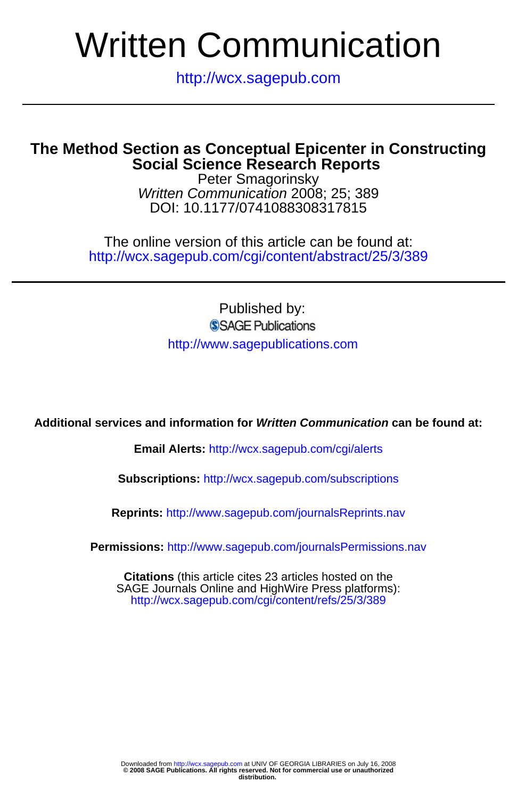http://wcx.sagepub.com

# **Social Science Research Reports The Method Section as Conceptual Epicenter in Constructing**

DOI: 10.1177/0741088308317815 Written Communication 2008; 25; 389 Peter Smagorinsky

http://wcx.sagepub.com/cgi/content/abstract/25/3/389 The online version of this article can be found at:

> Published by: SSAGE Publications http://www.sagepublications.com

**Additional services and information for Written Communication can be found at:**

**Email Alerts:** <http://wcx.sagepub.com/cgi/alerts>

**Subscriptions:** <http://wcx.sagepub.com/subscriptions>

**Reprints:** <http://www.sagepub.com/journalsReprints.nav>

**Permissions:** <http://www.sagepub.com/journalsPermissions.nav>

<http://wcx.sagepub.com/cgi/content/refs/25/3/389> SAGE Journals Online and HighWire Press platforms): **Citations** (this article cites 23 articles hosted on the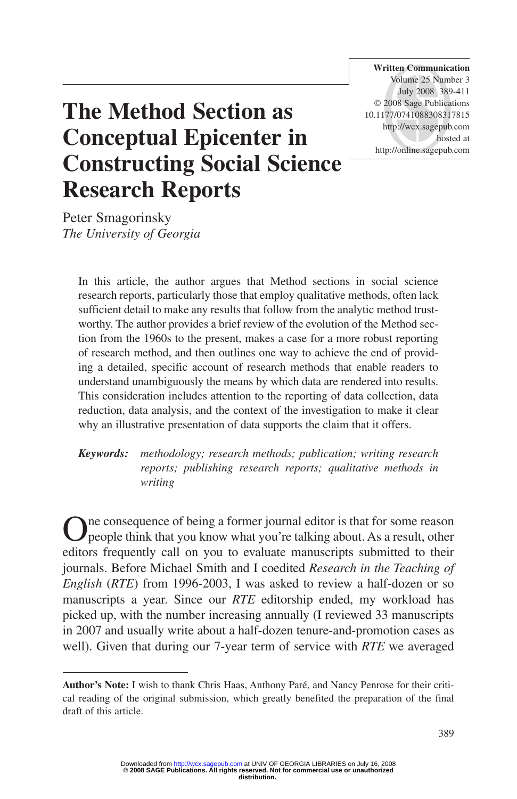# **The Method Section as Conceptual Epicenter in Constructing Social Science Research Reports**

**Written Communication** Volume 25 Number 3 July 2008 389-411 © 2008 Sage Publications 10.1177/0741088308317815 http://wcx.sagepub.com hosted at http://online.sagepub.com

Peter Smagorinsky *The University of Georgia*

> In this article, the author argues that Method sections in social science research reports, particularly those that employ qualitative methods, often lack sufficient detail to make any results that follow from the analytic method trustworthy. The author provides a brief review of the evolution of the Method section from the 1960s to the present, makes a case for a more robust reporting of research method, and then outlines one way to achieve the end of providing a detailed, specific account of research methods that enable readers to understand unambiguously the means by which data are rendered into results. This consideration includes attention to the reporting of data collection, data reduction, data analysis, and the context of the investigation to make it clear why an illustrative presentation of data supports the claim that it offers.

> *Keywords: methodology; research methods; publication; writing research reports; publishing research reports; qualitative methods in writing*

ne consequence [of being a form](http://wcx.sagepub.com)er journal editor is that for some reason people think that you know what you're talking about. As a result, other editors frequently call on you to evaluate manuscripts submitted to their journals. Before Michael Smith and I coedited *Research in the Teaching of English* (*RTE*) from 1996-2003, I was asked to review a half-dozen or so manuscripts a year. Since our *RTE* editorship ended, my workload has picked up, with the number increasing annually (I reviewed 33 manuscripts in 2007 and usually write about a half-dozen tenure-and-promotion cases as well). Given that during our 7-year term of service with *RTE* we averaged

**Author's Note:** I wish to thank Chris Haas, Anthony Paré, and Nancy Penrose for their critical reading of the original submission, which greatly benefited the preparation of the final draft of this article.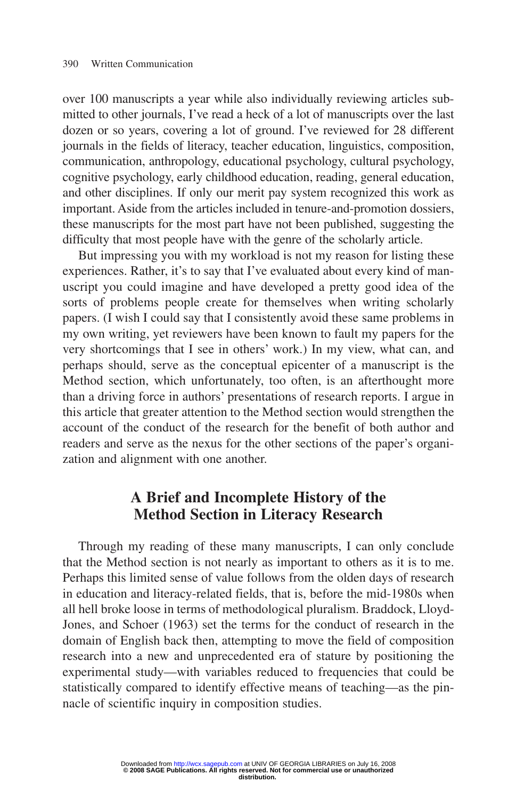over 100 manuscripts a year while also individually reviewing articles submitted to other journals, I've read a heck of a lot of manuscripts over the last dozen or so years, covering a lot of ground. I've reviewed for 28 different journals in the fields of literacy, teacher education, linguistics, composition, communication, anthropology, educational psychology, cultural psychology, cognitive psychology, early childhood education, reading, general education, and other disciplines. If only our merit pay system recognized this work as important. Aside from the articles included in tenure-and-promotion dossiers, these manuscripts for the most part have not been published, suggesting the difficulty that most people have with the genre of the scholarly article.

But impressing you with my workload is not my reason for listing these experiences. Rather, it's to say that I've evaluated about every kind of manuscript you could imagine and have developed a pretty good idea of the sorts of problems people create for themselves when writing scholarly papers. (I wish I could say that I consistently avoid these same problems in my own writing, yet reviewers have been known to fault my papers for the very shortcomings that I see in others' work.) In my view, what can, and perhaps should, serve as the conceptual epicenter of a manuscript is the Method section, which unfortunately, too often, is an afterthought more than a driving force in authors' presentations of research reports. I argue in this article that greater attention to the Method section would strengthen the account of the conduct of the research for the benefit of both author and readers and serve as the nexus for the other sections of the paper's organization and alignment with one another.

# **A Brief and Incomplete History of the Method Section in Literacy Research**

Through my reading of these many manuscripts, I can only conclude that the Method section is not nearly as important to others as it is to me. Perhaps this limited sense of value follows from the olden days of research in education and literacy-related fields, that is, before the mid-1980s when all hell broke loose in terms of methodological pluralism. Braddock, Lloyd-Jones, and Schoer (1963) set the terms for the conduct of research in the domain of English back then, attempting to move the field of composition research into a new and unprecedented era of stature by positioning the experimental study—with variables reduced to frequencies that could be statistically compared to identify effective means of teaching—as the pinnacle of scientific inquiry in composition studies.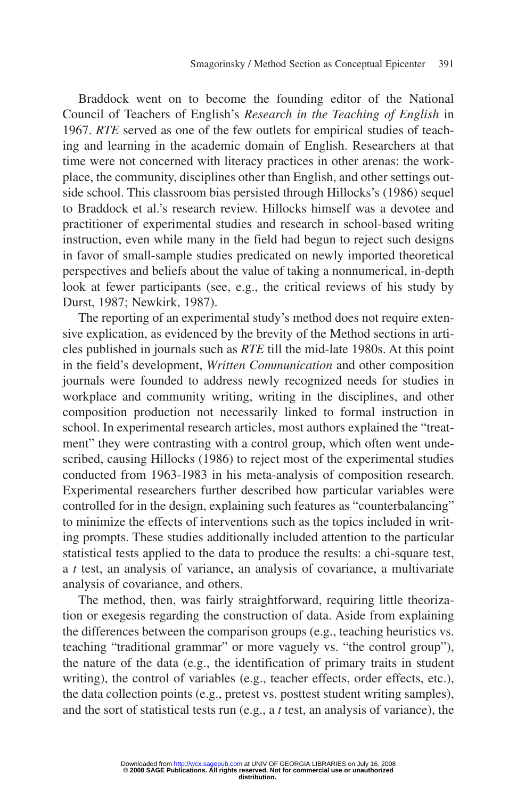Braddock went on to become the founding editor of the National Council of Teachers of English's *Research in the Teaching of English* in 1967. *RTE* served as one of the few outlets for empirical studies of teaching and learning in the academic domain of English. Researchers at that time were not concerned with literacy practices in other arenas: the workplace, the community, disciplines other than English, and other settings outside school. This classroom bias persisted through Hillocks's (1986) sequel to Braddock et al.'s research review. Hillocks himself was a devotee and practitioner of experimental studies and research in school-based writing instruction, even while many in the field had begun to reject such designs in favor of small-sample studies predicated on newly imported theoretical perspectives and beliefs about the value of taking a nonnumerical, in-depth look at fewer participants (see, e.g., the critical reviews of his study by Durst, 1987; Newkirk, 1987).

The reporting of an experimental study's method does not require extensive explication, as evidenced by the brevity of the Method sections in articles published in journals such as *RTE* till the mid-late 1980s. At this point in the field's development, *Written Communication* and other composition journals were founded to address newly recognized needs for studies in workplace and community writing, writing in the disciplines, and other composition production not necessarily linked to formal instruction in school. In experimental research articles, most authors explained the "treatment" they were contrasting with a control group, which often went undescribed, causing Hillocks (1986) to reject most of the experimental studies conducted from 1963-1983 in his meta-analysis of composition research. Experimental researchers further described how particular variables were controlled for in the design, explaining such features as "counterbalancing" to minimize the effe[cts of intervent](http://wcx.sagepub.com)ions such as the topics included in writing prompts. These studies additionally included attention to the particular statistical tests applied to the data to produce the results: a chi-square test, a *t* test, an analysis of variance, an analysis of covariance, a multivariate analysis of covariance, and others.

The method, then, was fairly straightforward, requiring little theorization or exegesis regarding the construction of data. Aside from explaining the differences between the comparison groups (e.g., teaching heuristics vs. teaching "traditional grammar" or more vaguely vs. "the control group"), the nature of the data (e.g., the identification of primary traits in student writing), the control of variables (e.g., teacher effects, order effects, etc.), the data collection points (e.g., pretest vs. posttest student writing samples), and the sort of statistical tests run (e.g., a *t* test, an analysis of variance), the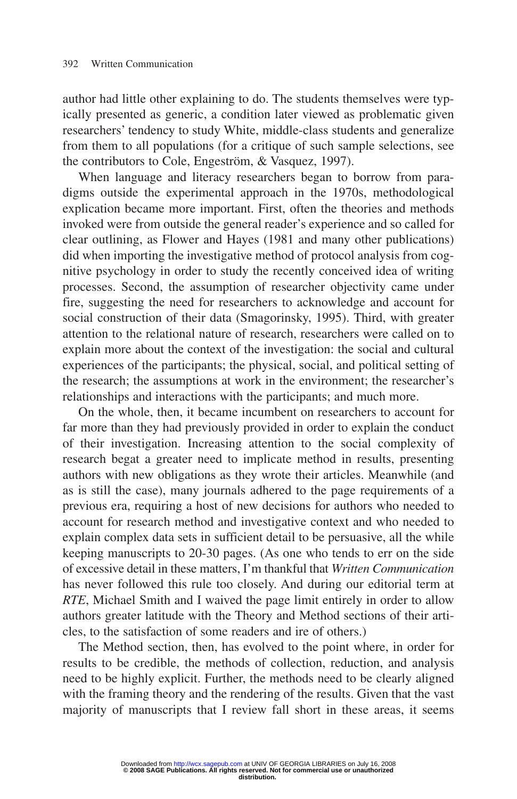author had little other explaining to do. The students themselves were typically presented as generic, a condition later viewed as problematic given researchers' tendency to study White, middle-class students and generalize from them to all populations (for a critique of such sample selections, see the contributors to Cole, Engeström, & Vasquez, 1997).

When language and literacy researchers began to borrow from paradigms outside the experimental approach in the 1970s, methodological explication became more important. First, often the theories and methods invoked were from outside the general reader's experience and so called for clear outlining, as Flower and Hayes (1981 and many other publications) did when importing the investigative method of protocol analysis from cognitive psychology in order to study the recently conceived idea of writing processes. Second, the assumption of researcher objectivity came under fire, suggesting the need for researchers to acknowledge and account for social construction of their data (Smagorinsky, 1995). Third, with greater attention to the relational nature of research, researchers were called on to explain more about the context of the investigation: the social and cultural experiences of the participants; the physical, social, and political setting of the research; the assumptions at work in the environment; the researcher's relationships and interactions with the participants; and much more.

On the whole, then, it became incumbent on researchers to account for far more than they had previously provided in order to explain the conduct of their investigation. Increasing attention to the social complexity of research begat a greater need to implicate method in results, presenting authors with new obligations as they wrote their articles. Meanwhile (and as is still the case), many journals adhered to the page requirements of a previous era, requiring a host of new decisions for authors who needed to account for research [method and i](http://wcx.sagepub.com)nvestigative context and who needed to explain complex data sets in sufficient detail to be persuasive, all the while keeping manuscripts to 20-30 pages. (As one who tends to err on the side of excessive detail in these matters, I'm thankful that *Written Communication* has never followed this rule too closely. And during our editorial term at *RTE*, Michael Smith and I waived the page limit entirely in order to allow authors greater latitude with the Theory and Method sections of their articles, to the satisfaction of some readers and ire of others.)

The Method section, then, has evolved to the point where, in order for results to be credible, the methods of collection, reduction, and analysis need to be highly explicit. Further, the methods need to be clearly aligned with the framing theory and the rendering of the results. Given that the vast majority of manuscripts that I review fall short in these areas, it seems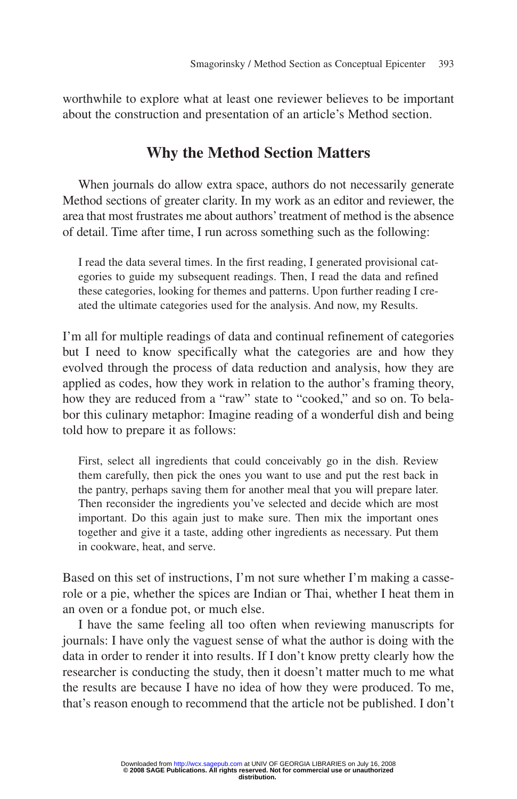worthwhile to explore what at least one reviewer believes to be important about the construction and presentation of an article's Method section.

## **Why the Method Section Matters**

When journals do allow extra space, authors do not necessarily generate Method sections of greater clarity. In my work as an editor and reviewer, the area that most frustrates me about authors' treatment of method is the absence of detail. Time after time, I run across something such as the following:

I read the data several times. In the first reading, I generated provisional categories to guide my subsequent readings. Then, I read the data and refined these categories, looking for themes and patterns. Upon further reading I created the ultimate categories used for the analysis. And now, my Results.

I'm all for multiple readings of data and continual refinement of categories but I need to know specifically what the categories are and how they evolved through the process of data reduction and analysis, how they are applied as codes, how they work in relation to the author's framing theory, how they are reduced from a "raw" state to "cooked," and so on. To belabor this culinary metaphor: Imagine reading of a wonderful dish and being told how to prepare it as follows:

First, select all ingredients that could conceivably go in the dish. Review them carefully, then pick the ones you want to use and put the rest back in the pantry, perhaps saving them for another meal that you will prepare later. Then reconsider the ingredients you've selected and decide which are most important. Do this again just to make sure. Then mix the important ones together and give it [a taste,](http://wcx.sagepub.com) [adding](http://wcx.sagepub.com) other ingredients as necessary. Put them in cookware, heat, and serve.

Based on this set of instructions, I'm not sure whether I'm making a casserole or a pie, whether the spices are Indian or Thai, whether I heat them in an oven or a fondue pot, or much else.

I have the same feeling all too often when reviewing manuscripts for journals: I have only the vaguest sense of what the author is doing with the data in order to render it into results. If I don't know pretty clearly how the researcher is conducting the study, then it doesn't matter much to me what the results are because I have no idea of how they were produced. To me, that's reason enough to recommend that the article not be published. I don't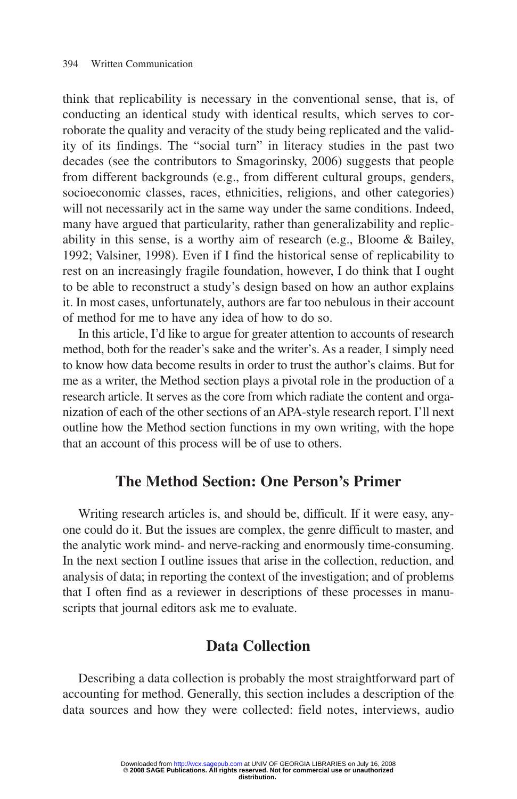think that replicability is necessary in the conventional sense, that is, of conducting an identical study with identical results, which serves to corroborate the quality and veracity of the study being replicated and the validity of its findings. The "social turn" in literacy studies in the past two decades (see the contributors to Smagorinsky, 2006) suggests that people from different backgrounds (e.g., from different cultural groups, genders, socioeconomic classes, races, ethnicities, religions, and other categories) will not necessarily act in the same way under the same conditions. Indeed, many have argued that particularity, rather than generalizability and replicability in this sense, is a worthy aim of research (e.g., Bloome & Bailey, 1992; Valsiner, 1998). Even if I find the historical sense of replicability to rest on an increasingly fragile foundation, however, I do think that I ought to be able to reconstruct a study's design based on how an author explains it. In most cases, unfortunately, authors are far too nebulous in their account of method for me to have any idea of how to do so.

In this article, I'd like to argue for greater attention to accounts of research method, both for the reader's sake and the writer's. As a reader, I simply need to know how data become results in order to trust the author's claims. But for me as a writer, the Method section plays a pivotal role in the production of a research article. It serves as the core from which radiate the content and organization of each of the other sections of an APA-style research report. I'll next outline how the Method section functions in my own writing, with the hope that an account of this process will be of use to others.

# **The Method Section: One Person's Primer**

Writing research articles is, and should be, difficult. If it were easy, anyone could do it. But t[he issues are co](http://wcx.sagepub.com)mplex, the genre difficult to master, and the analytic work mind- and nerve-racking and enormously time-consuming. In the next section I outline issues that arise in the collection, reduction, and analysis of data; in reporting the context of the investigation; and of problems that I often find as a reviewer in descriptions of these processes in manuscripts that journal editors ask me to evaluate.

# **Data Collection**

Describing a data collection is probably the most straightforward part of accounting for method. Generally, this section includes a description of the data sources and how they were collected: field notes, interviews, audio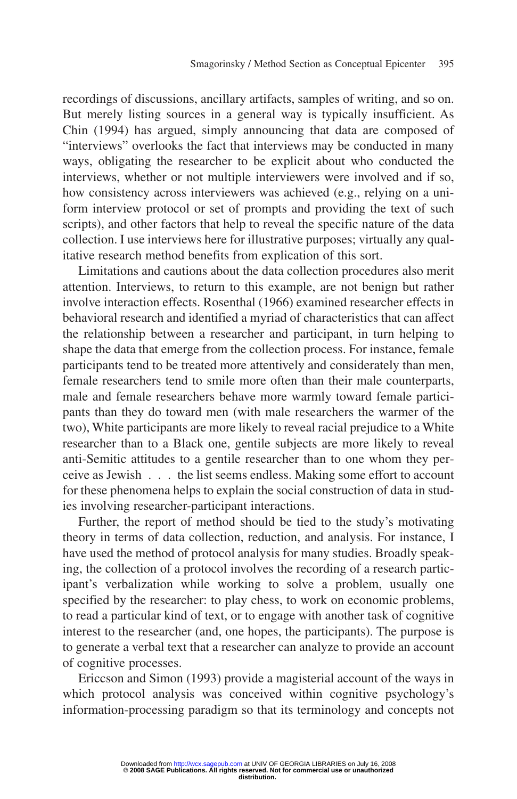recordings of discussions, ancillary artifacts, samples of writing, and so on. But merely listing sources in a general way is typically insufficient. As Chin (1994) has argued, simply announcing that data are composed of "interviews" overlooks the fact that interviews may be conducted in many ways, obligating the researcher to be explicit about who conducted the interviews, whether or not multiple interviewers were involved and if so, how consistency across interviewers was achieved (e.g., relying on a uniform interview protocol or set of prompts and providing the text of such scripts), and other factors that help to reveal the specific nature of the data collection. I use interviews here for illustrative purposes; virtually any qualitative research method benefits from explication of this sort.

Limitations and cautions about the data collection procedures also merit attention. Interviews, to return to this example, are not benign but rather involve interaction effects. Rosenthal (1966) examined researcher effects in behavioral research and identified a myriad of characteristics that can affect the relationship between a researcher and participant, in turn helping to shape the data that emerge from the collection process. For instance, female participants tend to be treated more attentively and considerately than men, female researchers tend to smile more often than their male counterparts, male and female researchers behave more warmly toward female participants than they do toward men (with male researchers the warmer of the two), White participants are more likely to reveal racial prejudice to a White researcher than to a Black one, gentile subjects are more likely to reveal anti-Semitic attitudes to a gentile researcher than to one whom they perceive as Jewish . . . the list seems endless. Making some effort to account for these phenomena helps to explain the social construction of data in studies involving researcher-participant interactions.

Further, the repo[rt of method s](http://wcx.sagepub.com)hould be tied to the study's motivating theory in terms of data collection, reduction, and analysis. For instance, I have used the method of protocol analysis for many studies. Broadly speaking, the collection of a protocol involves the recording of a research participant's verbalization while working to solve a problem, usually one specified by the researcher: to play chess, to work on economic problems, to read a particular kind of text, or to engage with another task of cognitive interest to the researcher (and, one hopes, the participants). The purpose is to generate a verbal text that a researcher can analyze to provide an account of cognitive processes.

Ericcson and Simon (1993) provide a magisterial account of the ways in which protocol analysis was conceived within cognitive psychology's information-processing paradigm so that its terminology and concepts not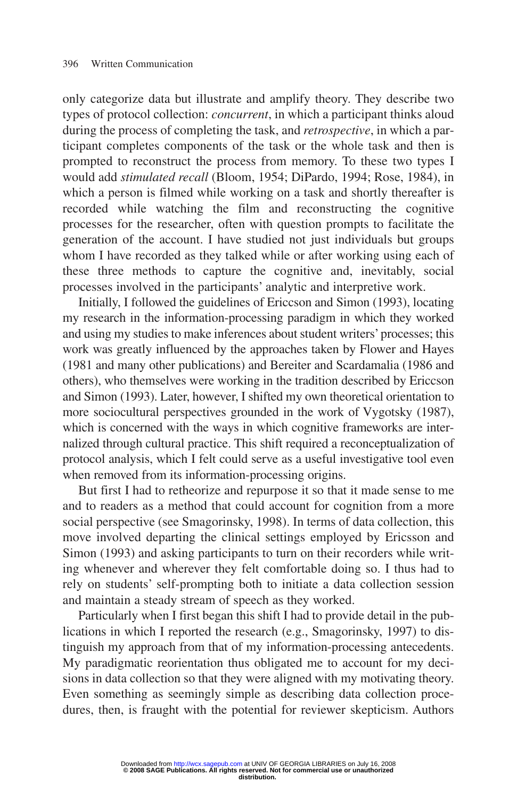only categorize data but illustrate and amplify theory. They describe two types of protocol collection: *concurrent*, in which a participant thinks aloud during the process of completing the task, and *retrospective*, in which a participant completes components of the task or the whole task and then is prompted to reconstruct the process from memory. To these two types I would add *stimulated recall* (Bloom, 1954; DiPardo, 1994; Rose, 1984), in which a person is filmed while working on a task and shortly thereafter is recorded while watching the film and reconstructing the cognitive processes for the researcher, often with question prompts to facilitate the generation of the account. I have studied not just individuals but groups whom I have recorded as they talked while or after working using each of these three methods to capture the cognitive and, inevitably, social processes involved in the participants' analytic and interpretive work.

Initially, I followed the guidelines of Ericcson and Simon (1993), locating my research in the information-processing paradigm in which they worked and using my studies to make inferences about student writers'processes; this work was greatly influenced by the approaches taken by Flower and Hayes (1981 and many other publications) and Bereiter and Scardamalia (1986 and others), who themselves were working in the tradition described by Ericcson and Simon (1993). Later, however, I shifted my own theoretical orientation to more sociocultural perspectives grounded in the work of Vygotsky (1987), which is concerned with the ways in which cognitive frameworks are internalized through cultural practice. This shift required a reconceptualization of protocol analysis, which I felt could serve as a useful investigative tool even when removed from its information-processing origins.

But first I had to retheorize and repurpose it so that it made sense to me and to readers as a method that could account for cognition from a more social perspective (s[ee Smagorinsk](http://wcx.sagepub.com)y, 1998). In terms of data collection, this move involved departing the clinical settings employed by Ericsson and Simon (1993) and asking participants to turn on their recorders while writing whenever and wherever they felt comfortable doing so. I thus had to rely on students' self-prompting both to initiate a data collection session and maintain a steady stream of speech as they worked.

Particularly when I first began this shift I had to provide detail in the publications in which I reported the research (e.g., Smagorinsky, 1997) to distinguish my approach from that of my information-processing antecedents. My paradigmatic reorientation thus obligated me to account for my decisions in data collection so that they were aligned with my motivating theory. Even something as seemingly simple as describing data collection procedures, then, is fraught with the potential for reviewer skepticism. Authors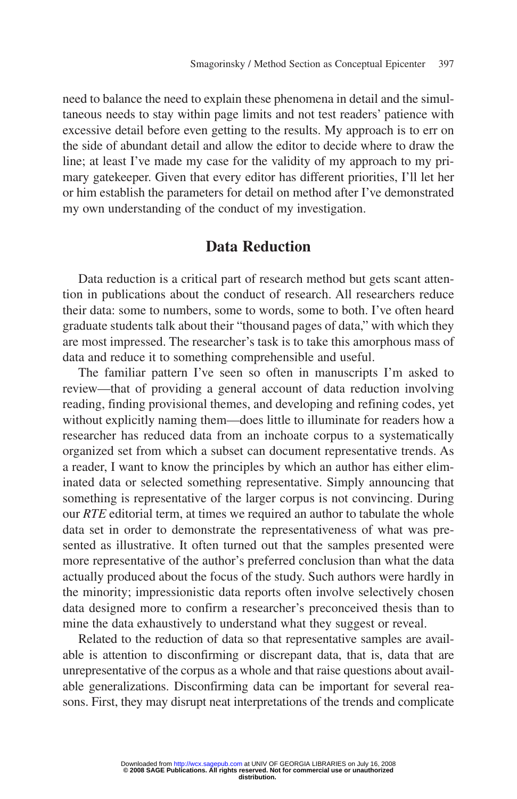need to balance the need to explain these phenomena in detail and the simultaneous needs to stay within page limits and not test readers' patience with excessive detail before even getting to the results. My approach is to err on the side of abundant detail and allow the editor to decide where to draw the line; at least I've made my case for the validity of my approach to my primary gatekeeper. Given that every editor has different priorities, I'll let her or him establish the parameters for detail on method after I've demonstrated my own understanding of the conduct of my investigation.

#### **Data Reduction**

Data reduction is a critical part of research method but gets scant attention in publications about the conduct of research. All researchers reduce their data: some to numbers, some to words, some to both. I've often heard graduate students talk about their "thousand pages of data," with which they are most impressed. The researcher's task is to take this amorphous mass of data and reduce it to something comprehensible and useful.

The familiar pattern I've seen so often in manuscripts I'm asked to review—that of providing a general account of data reduction involving reading, finding provisional themes, and developing and refining codes, yet without explicitly naming them—does little to illuminate for readers how a researcher has reduced data from an inchoate corpus to a systematically organized set from which a subset can document representative trends. As a reader, I want to know the principles by which an author has either eliminated data or selected something representative. Simply announcing that something is representative of the larger corpus is not convincing. During our *RTE* editorial term, at times we required an author to tabulate the whole data set in order to [demonstrate t](http://wcx.sagepub.com)he representativeness of what was presented as illustrative. It often turned out that the samples presented were more representative of the author's preferred conclusion than what the data actually produced about the focus of the study. Such authors were hardly in the minority; impressionistic data reports often involve selectively chosen data designed more to confirm a researcher's preconceived thesis than to mine the data exhaustively to understand what they suggest or reveal.

Related to the reduction of data so that representative samples are available is attention to disconfirming or discrepant data, that is, data that are unrepresentative of the corpus as a whole and that raise questions about available generalizations. Disconfirming data can be important for several reasons. First, they may disrupt neat interpretations of the trends and complicate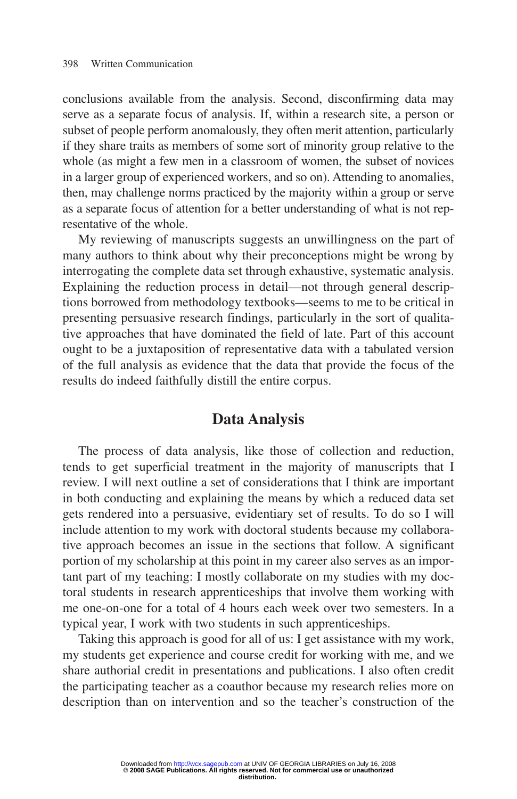conclusions available from the analysis. Second, disconfirming data may serve as a separate focus of analysis. If, within a research site, a person or subset of people perform anomalously, they often merit attention, particularly if they share traits as members of some sort of minority group relative to the whole (as might a few men in a classroom of women, the subset of novices in a larger group of experienced workers, and so on). Attending to anomalies, then, may challenge norms practiced by the majority within a group or serve as a separate focus of attention for a better understanding of what is not representative of the whole.

My reviewing of manuscripts suggests an unwillingness on the part of many authors to think about why their preconceptions might be wrong by interrogating the complete data set through exhaustive, systematic analysis. Explaining the reduction process in detail—not through general descriptions borrowed from methodology textbooks—seems to me to be critical in presenting persuasive research findings, particularly in the sort of qualitative approaches that have dominated the field of late. Part of this account ought to be a juxtaposition of representative data with a tabulated version of the full analysis as evidence that the data that provide the focus of the results do indeed faithfully distill the entire corpus.

#### **Data Analysis**

The process of data analysis, like those of collection and reduction, tends to get superficial treatment in the majority of manuscripts that I review. I will next outline a set of considerations that I think are important in both conducting and explaining the means by which a reduced data set gets rendered into a persuasive, evidentiary set of results. To do so I will include attention to [my work with d](http://wcx.sagepub.com)octoral students because my collaborative approach becomes an issue in the sections that follow. A significant portion of my scholarship at this point in my career also serves as an important part of my teaching: I mostly collaborate on my studies with my doctoral students in research apprenticeships that involve them working with me one-on-one for a total of 4 hours each week over two semesters. In a typical year, I work with two students in such apprenticeships.

Taking this approach is good for all of us: I get assistance with my work, my students get experience and course credit for working with me, and we share authorial credit in presentations and publications. I also often credit the participating teacher as a coauthor because my research relies more on description than on intervention and so the teacher's construction of the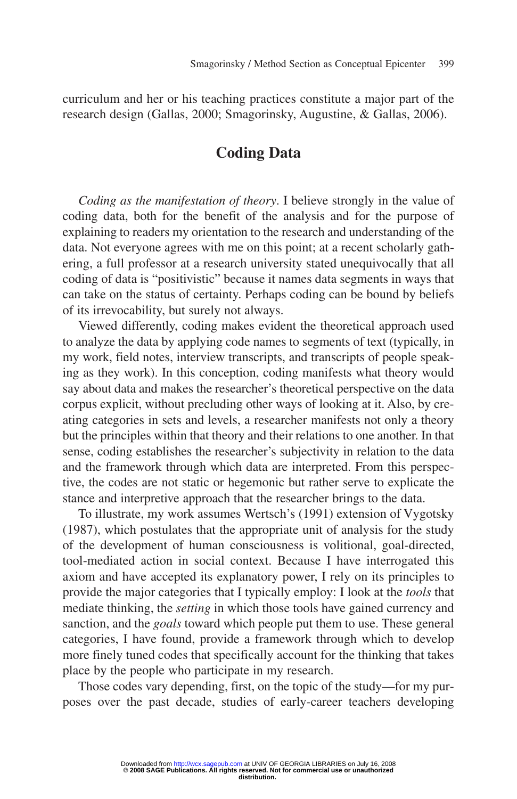curriculum and her or his teaching practices constitute a major part of the research design (Gallas, 2000; Smagorinsky, Augustine, & Gallas, 2006).

# **Coding Data**

*Coding as the manifestation of theory*. I believe strongly in the value of coding data, both for the benefit of the analysis and for the purpose of explaining to readers my orientation to the research and understanding of the data. Not everyone agrees with me on this point; at a recent scholarly gathering, a full professor at a research university stated unequivocally that all coding of data is "positivistic" because it names data segments in ways that can take on the status of certainty. Perhaps coding can be bound by beliefs of its irrevocability, but surely not always.

Viewed differently, coding makes evident the theoretical approach used to analyze the data by applying code names to segments of text (typically, in my work, field notes, interview transcripts, and transcripts of people speaking as they work). In this conception, coding manifests what theory would say about data and makes the researcher's theoretical perspective on the data corpus explicit, without precluding other ways of looking at it. Also, by creating categories in sets and levels, a researcher manifests not only a theory but the principles within that theory and their relations to one another. In that sense, coding establishes the researcher's subjectivity in relation to the data and the framework through which data are interpreted. From this perspective, the codes are not static or hegemonic but rather serve to explicate the stance and interpretive approach that the researcher brings to the data.

To illustrate, my work assumes Wertsch's (1991) extension of Vygotsky (1987), which postul[ates that the a](http://wcx.sagepub.com)ppropriate unit of analysis for the study of the development of human consciousness is volitional, goal-directed, tool-mediated action in social context. Because I have interrogated this axiom and have accepted its explanatory power, I rely on its principles to provide the major categories that I typically employ: I look at the *tools* that mediate thinking, the *setting* in which those tools have gained currency and sanction, and the *goals* toward which people put them to use. These general categories, I have found, provide a framework through which to develop more finely tuned codes that specifically account for the thinking that takes place by the people who participate in my research.

Those codes vary depending, first, on the topic of the study—for my purposes over the past decade, studies of early-career teachers developing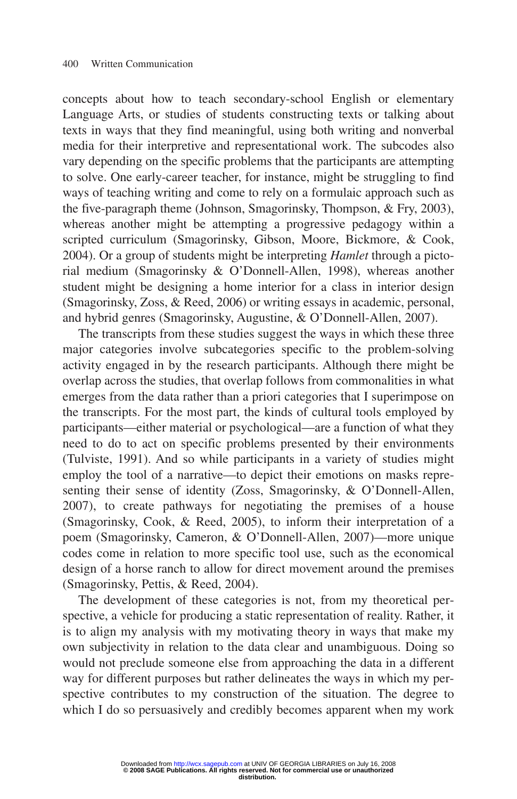concepts about how to teach secondary-school English or elementary Language Arts, or studies of students constructing texts or talking about texts in ways that they find meaningful, using both writing and nonverbal media for their interpretive and representational work. The subcodes also vary depending on the specific problems that the participants are attempting to solve. One early-career teacher, for instance, might be struggling to find ways of teaching writing and come to rely on a formulaic approach such as the five-paragraph theme (Johnson, Smagorinsky, Thompson, & Fry, 2003), whereas another might be attempting a progressive pedagogy within a scripted curriculum (Smagorinsky, Gibson, Moore, Bickmore, & Cook, 2004). Or a group of students might be interpreting *Hamlet* through a pictorial medium (Smagorinsky & O'Donnell-Allen, 1998), whereas another student might be designing a home interior for a class in interior design (Smagorinsky, Zoss, & Reed, 2006) or writing essays in academic, personal, and hybrid genres (Smagorinsky, Augustine, & O'Donnell-Allen, 2007).

The transcripts from these studies suggest the ways in which these three major categories involve subcategories specific to the problem-solving activity engaged in by the research participants. Although there might be overlap across the studies, that overlap follows from commonalities in what emerges from the data rather than a priori categories that I superimpose on the transcripts. For the most part, the kinds of cultural tools employed by participants—either material or psychological—are a function of what they need to do to act on specific problems presented by their environments (Tulviste, 1991). And so while participants in a variety of studies might employ the tool of a narrative—to depict their emotions on masks representing their sense of identity (Zoss, Smagorinsky, & O'Donnell-Allen, 2007), to create pathways for negotiating the premises of a house (Smagorinsky, Cook[, & Reed, 20](http://wcx.sagepub.com)05), to inform their interpretation of a poem (Smagorinsky, Cameron, & O'Donnell-Allen, 2007)—more unique codes come in relation to more specific tool use, such as the economical design of a horse ranch to allow for direct movement around the premises (Smagorinsky, Pettis, & Reed, 2004).

The development of these categories is not, from my theoretical perspective, a vehicle for producing a static representation of reality. Rather, it is to align my analysis with my motivating theory in ways that make my own subjectivity in relation to the data clear and unambiguous. Doing so would not preclude someone else from approaching the data in a different way for different purposes but rather delineates the ways in which my perspective contributes to my construction of the situation. The degree to which I do so persuasively and credibly becomes apparent when my work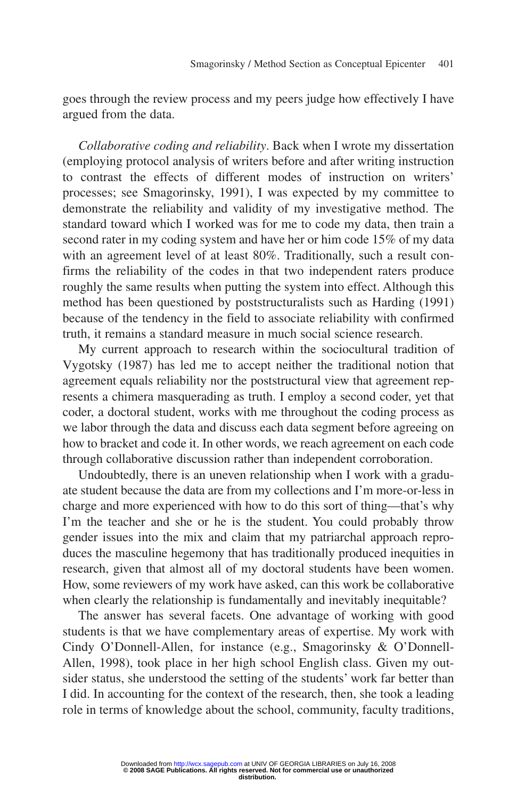goes through the review process and my peers judge how effectively I have argued from the data.

*Collaborative coding and reliability*. Back when I wrote my dissertation (employing protocol analysis of writers before and after writing instruction to contrast the effects of different modes of instruction on writers' processes; see Smagorinsky, 1991), I was expected by my committee to demonstrate the reliability and validity of my investigative method. The standard toward which I worked was for me to code my data, then train a second rater in my coding system and have her or him code 15% of my data with an agreement level of at least 80%. Traditionally, such a result confirms the reliability of the codes in that two independent raters produce roughly the same results when putting the system into effect. Although this method has been questioned by poststructuralists such as Harding (1991) because of the tendency in the field to associate reliability with confirmed truth, it remains a standard measure in much social science research.

My current approach to research within the sociocultural tradition of Vygotsky (1987) has led me to accept neither the traditional notion that agreement equals reliability nor the poststructural view that agreement represents a chimera masquerading as truth. I employ a second coder, yet that coder, a doctoral student, works with me throughout the coding process as we labor through the data and discuss each data segment before agreeing on how to bracket and code it. In other words, we reach agreement on each code through collaborative discussion rather than independent corroboration.

Undoubtedly, there is an uneven relationship when I work with a graduate student because the data are from my collections and I'm more-or-less in charge and more experienced with how to do this sort of thing—that's why I'm the teacher and [she or he is](http://wcx.sagepub.com) the student. You could probably throw gender issues into the mix and claim that my patriarchal approach reproduces the masculine hegemony that has traditionally produced inequities in research, given that almost all of my doctoral students have been women. How, some reviewers of my work have asked, can this work be collaborative when clearly the relationship is fundamentally and inevitably inequitable?

The answer has several facets. One advantage of working with good students is that we have complementary areas of expertise. My work with Cindy O'Donnell-Allen, for instance (e.g., Smagorinsky & O'Donnell-Allen, 1998), took place in her high school English class. Given my outsider status, she understood the setting of the students' work far better than I did. In accounting for the context of the research, then, she took a leading role in terms of knowledge about the school, community, faculty traditions,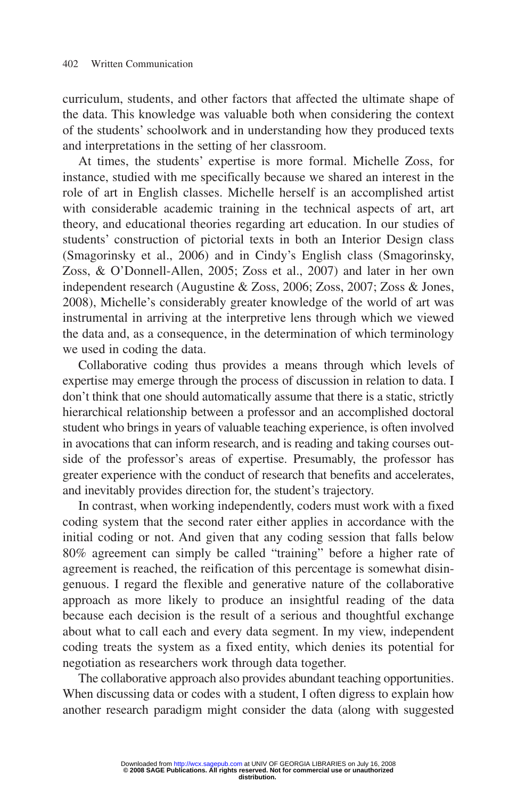curriculum, students, and other factors that affected the ultimate shape of the data. This knowledge was valuable both when considering the context of the students' schoolwork and in understanding how they produced texts and interpretations in the setting of her classroom.

At times, the students' expertise is more formal. Michelle Zoss, for instance, studied with me specifically because we shared an interest in the role of art in English classes. Michelle herself is an accomplished artist with considerable academic training in the technical aspects of art, art theory, and educational theories regarding art education. In our studies of students' construction of pictorial texts in both an Interior Design class (Smagorinsky et al., 2006) and in Cindy's English class (Smagorinsky, Zoss, & O'Donnell-Allen, 2005; Zoss et al., 2007) and later in her own independent research (Augustine & Zoss, 2006; Zoss, 2007; Zoss & Jones, 2008), Michelle's considerably greater knowledge of the world of art was instrumental in arriving at the interpretive lens through which we viewed the data and, as a consequence, in the determination of which terminology we used in coding the data.

Collaborative coding thus provides a means through which levels of expertise may emerge through the process of discussion in relation to data. I don't think that one should automatically assume that there is a static, strictly hierarchical relationship between a professor and an accomplished doctoral student who brings in years of valuable teaching experience, is often involved in avocations that can inform research, and is reading and taking courses outside of the professor's areas of expertise. Presumably, the professor has greater experience with the conduct of research that benefits and accelerates, and inevitably provides direction for, the student's trajectory.

In contrast, when working independently, coders must work with a fixed coding system that t[he second rate](http://wcx.sagepub.com)r either applies in accordance with the initial coding or not. And given that any coding session that falls below 80% agreement can simply be called "training" before a higher rate of agreement is reached, the reification of this percentage is somewhat disingenuous. I regard the flexible and generative nature of the collaborative approach as more likely to produce an insightful reading of the data because each decision is the result of a serious and thoughtful exchange about what to call each and every data segment. In my view, independent coding treats the system as a fixed entity, which denies its potential for negotiation as researchers work through data together.

The collaborative approach also provides abundant teaching opportunities. When discussing data or codes with a student, I often digress to explain how another research paradigm might consider the data (along with suggested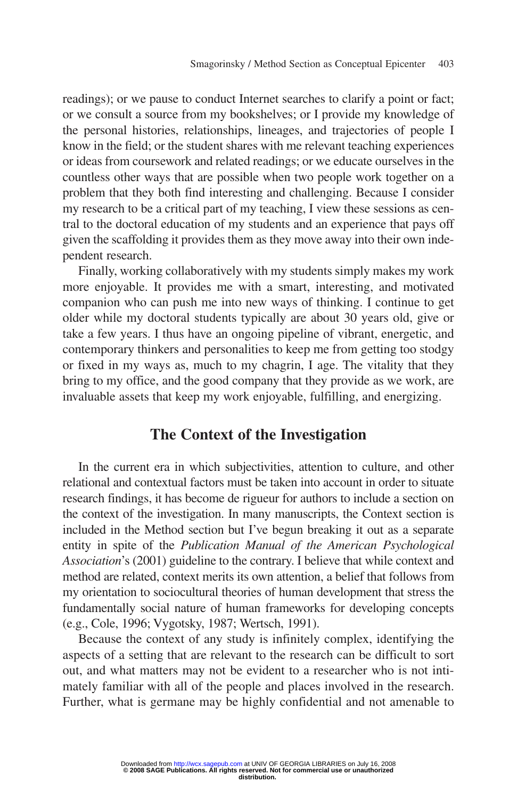readings); or we pause to conduct Internet searches to clarify a point or fact; or we consult a source from my bookshelves; or I provide my knowledge of the personal histories, relationships, lineages, and trajectories of people I know in the field; or the student shares with me relevant teaching experiences or ideas from coursework and related readings; or we educate ourselves in the countless other ways that are possible when two people work together on a problem that they both find interesting and challenging. Because I consider my research to be a critical part of my teaching, I view these sessions as central to the doctoral education of my students and an experience that pays off given the scaffolding it provides them as they move away into their own independent research.

Finally, working collaboratively with my students simply makes my work more enjoyable. It provides me with a smart, interesting, and motivated companion who can push me into new ways of thinking. I continue to get older while my doctoral students typically are about 30 years old, give or take a few years. I thus have an ongoing pipeline of vibrant, energetic, and contemporary thinkers and personalities to keep me from getting too stodgy or fixed in my ways as, much to my chagrin, I age. The vitality that they bring to my office, and the good company that they provide as we work, are invaluable assets that keep my work enjoyable, fulfilling, and energizing.

#### **The Context of the Investigation**

In the current era in which subjectivities, attention to culture, and other relational and contextual factors must be taken into account in order to situate research findings, it has become de rigueur for authors to include a section on the context of the investigation. In many manuscripts, the Context section is included in the Meth[od section but](http://wcx.sagepub.com) I've begun breaking it out as a separate entity in spite of the *Publication Manual of the American Psychological Association*'s (2001) guideline to the contrary. I believe that while context and method are related, context merits its own attention, a belief that follows from my orientation to sociocultural theories of human development that stress the fundamentally social nature of human frameworks for developing concepts (e.g., Cole, 1996; Vygotsky, 1987; Wertsch, 1991).

Because the context of any study is infinitely complex, identifying the aspects of a setting that are relevant to the research can be difficult to sort out, and what matters may not be evident to a researcher who is not intimately familiar with all of the people and places involved in the research. Further, what is germane may be highly confidential and not amenable to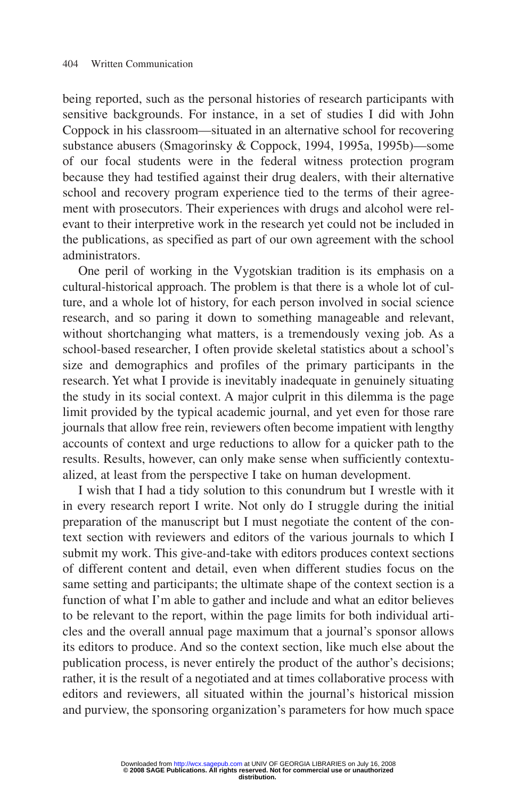being reported, such as the personal histories of research participants with sensitive backgrounds. For instance, in a set of studies I did with John Coppock in his classroom—situated in an alternative school for recovering substance abusers (Smagorinsky & Coppock, 1994, 1995a, 1995b)—some of our focal students were in the federal witness protection program because they had testified against their drug dealers, with their alternative school and recovery program experience tied to the terms of their agreement with prosecutors. Their experiences with drugs and alcohol were relevant to their interpretive work in the research yet could not be included in the publications, as specified as part of our own agreement with the school administrators.

One peril of working in the Vygotskian tradition is its emphasis on a cultural-historical approach. The problem is that there is a whole lot of culture, and a whole lot of history, for each person involved in social science research, and so paring it down to something manageable and relevant, without shortchanging what matters, is a tremendously vexing job. As a school-based researcher, I often provide skeletal statistics about a school's size and demographics and profiles of the primary participants in the research. Yet what I provide is inevitably inadequate in genuinely situating the study in its social context. A major culprit in this dilemma is the page limit provided by the typical academic journal, and yet even for those rare journals that allow free rein, reviewers often become impatient with lengthy accounts of context and urge reductions to allow for a quicker path to the results. Results, however, can only make sense when sufficiently contextualized, at least from the perspective I take on human development.

I wish that I had a tidy solution to this conundrum but I wrestle with it in every research report I write. Not only do I struggle during the initial preparation of the m[anuscript but I](http://wcx.sagepub.com) must negotiate the content of the context section with reviewers and editors of the various journals to which I submit my work. This give-and-take with editors produces context sections of different content and detail, even when different studies focus on the same setting and participants; the ultimate shape of the context section is a function of what I'm able to gather and include and what an editor believes to be relevant to the report, within the page limits for both individual articles and the overall annual page maximum that a journal's sponsor allows its editors to produce. And so the context section, like much else about the publication process, is never entirely the product of the author's decisions; rather, it is the result of a negotiated and at times collaborative process with editors and reviewers, all situated within the journal's historical mission and purview, the sponsoring organization's parameters for how much space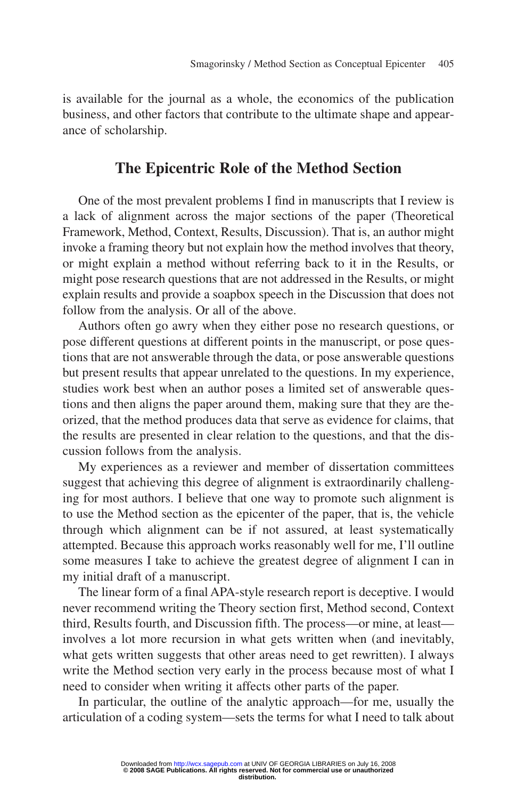is available for the journal as a whole, the economics of the publication business, and other factors that contribute to the ultimate shape and appearance of scholarship.

## **The Epicentric Role of the Method Section**

One of the most prevalent problems I find in manuscripts that I review is a lack of alignment across the major sections of the paper (Theoretical Framework, Method, Context, Results, Discussion). That is, an author might invoke a framing theory but not explain how the method involves that theory, or might explain a method without referring back to it in the Results, or might pose research questions that are not addressed in the Results, or might explain results and provide a soapbox speech in the Discussion that does not follow from the analysis. Or all of the above.

Authors often go awry when they either pose no research questions, or pose different questions at different points in the manuscript, or pose questions that are not answerable through the data, or pose answerable questions but present results that appear unrelated to the questions. In my experience, studies work best when an author poses a limited set of answerable questions and then aligns the paper around them, making sure that they are theorized, that the method produces data that serve as evidence for claims, that the results are presented in clear relation to the questions, and that the discussion follows from the analysis.

My experiences as a reviewer and member of dissertation committees suggest that achieving this degree of alignment is extraordinarily challenging for most authors. I believe that one way to promote such alignment is to use the Method section as the epicenter of the paper, that is, the vehicle through which alig[nment can be](http://wcx.sagepub.com) if not assured, at least systematically attempted. Because this approach works reasonably well for me, I'll outline some measures I take to achieve the greatest degree of alignment I can in my initial draft of a manuscript.

The linear form of a final APA-style research report is deceptive. I would never recommend writing the Theory section first, Method second, Context third, Results fourth, and Discussion fifth. The process—or mine, at least involves a lot more recursion in what gets written when (and inevitably, what gets written suggests that other areas need to get rewritten). I always write the Method section very early in the process because most of what I need to consider when writing it affects other parts of the paper.

In particular, the outline of the analytic approach—for me, usually the articulation of a coding system—sets the terms for what I need to talk about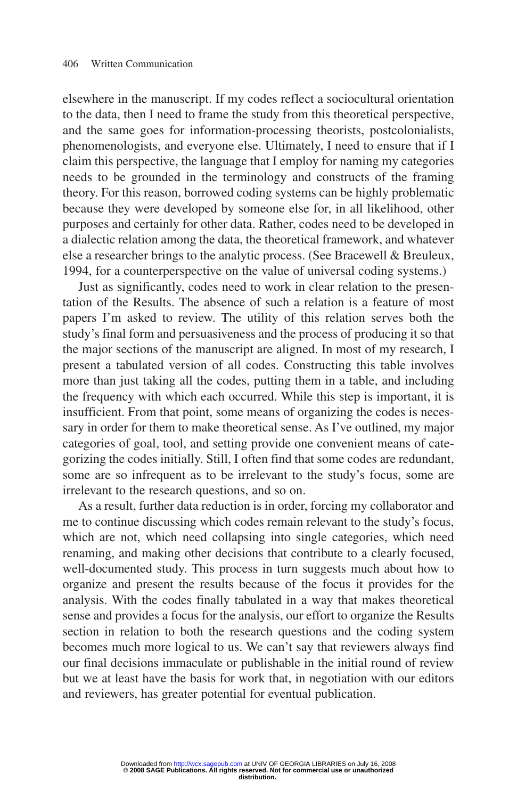elsewhere in the manuscript. If my codes reflect a sociocultural orientation to the data, then I need to frame the study from this theoretical perspective, and the same goes for information-processing theorists, postcolonialists, phenomenologists, and everyone else. Ultimately, I need to ensure that if I claim this perspective, the language that I employ for naming my categories needs to be grounded in the terminology and constructs of the framing theory. For this reason, borrowed coding systems can be highly problematic because they were developed by someone else for, in all likelihood, other purposes and certainly for other data. Rather, codes need to be developed in a dialectic relation among the data, the theoretical framework, and whatever else a researcher brings to the analytic process. (See Bracewell & Breuleux, 1994, for a counterperspective on the value of universal coding systems.)

Just as significantly, codes need to work in clear relation to the presentation of the Results. The absence of such a relation is a feature of most papers I'm asked to review. The utility of this relation serves both the study's final form and persuasiveness and the process of producing it so that the major sections of the manuscript are aligned. In most of my research, I present a tabulated version of all codes. Constructing this table involves more than just taking all the codes, putting them in a table, and including the frequency with which each occurred. While this step is important, it is insufficient. From that point, some means of organizing the codes is necessary in order for them to make theoretical sense. As I've outlined, my major categories of goal, tool, and setting provide one convenient means of categorizing the codes initially. Still, I often find that some codes are redundant, some are so infrequent as to be irrelevant to the study's focus, some are irrelevant to the research questions, and so on.

As a result, further data reduction is in order, forcing my collaborator and me to continue discu[ssing which co](http://wcx.sagepub.com)des remain relevant to the study's focus, which are not, which need collapsing into single categories, which need renaming, and making other decisions that contribute to a clearly focused, well-documented study. This process in turn suggests much about how to organize and present the results because of the focus it provides for the analysis. With the codes finally tabulated in a way that makes theoretical sense and provides a focus for the analysis, our effort to organize the Results section in relation to both the research questions and the coding system becomes much more logical to us. We can't say that reviewers always find our final decisions immaculate or publishable in the initial round of review but we at least have the basis for work that, in negotiation with our editors and reviewers, has greater potential for eventual publication.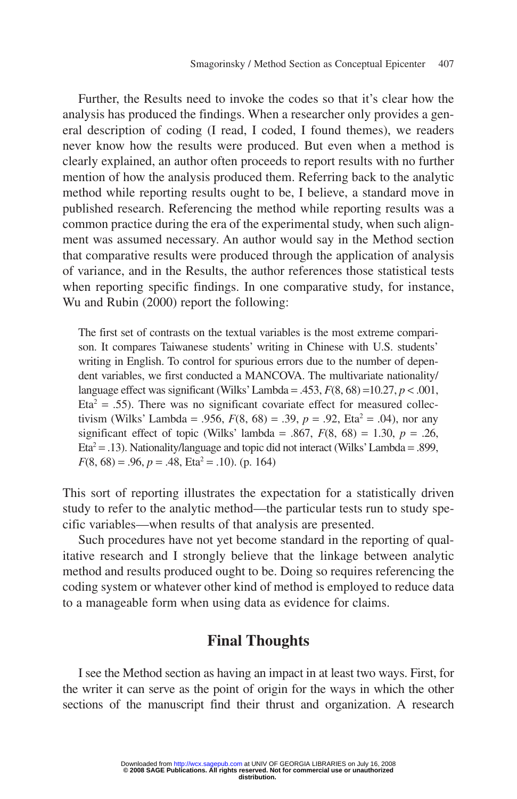Further, the Results need to invoke the codes so that it's clear how the analysis has produced the findings. When a researcher only provides a general description of coding (I read, I coded, I found themes), we readers never know how the results were produced. But even when a method is clearly explained, an author often proceeds to report results with no further mention of how the analysis produced them. Referring back to the analytic method while reporting results ought to be, I believe, a standard move in published research. Referencing the method while reporting results was a common practice during the era of the experimental study, when such alignment was assumed necessary. An author would say in the Method section that comparative results were produced through the application of analysis of variance, and in the Results, the author references those statistical tests when reporting specific findings. In one comparative study, for instance, Wu and Rubin (2000) report the following:

The first set of contrasts on the textual variables is the most extreme comparison. It compares Taiwanese students' writing in Chinese with U.S. students' writing in English. To control for spurious errors due to the number of dependent variables, we first conducted a MANCOVA. The multivariate nationality/ language effect was significant (Wilks'Lambda = .453, *F*(8, 68) =10.27, *p* < .001,  $Eta<sup>2</sup> = .55$ ). There was no significant covariate effect for measured collectivism (Wilks' Lambda = .956,  $F(8, 68) = .39$ ,  $p = .92$ , Eta<sup>2</sup> = .04), nor any significant effect of topic (Wilks' lambda = .867,  $F(8, 68) = 1.30$ ,  $p = .26$ ,  $Eta<sup>2</sup> = .13$ ). Nationality/language and topic did not interact (Wilks' Lambda = .899,  $F(8, 68) = .96, p = .48, Eta<sup>2</sup> = .10$ . (p. 164)

This sort of reporting illustrates the expectation for a statistically driven study to refer to the analytic method—the particular tests run to study specific variables—whe[n results of tha](http://wcx.sagepub.com)t analysis are presented.

Such procedures have not yet become standard in the reporting of qualitative research and I strongly believe that the linkage between analytic method and results produced ought to be. Doing so requires referencing the coding system or whatever other kind of method is employed to reduce data to a manageable form when using data as evidence for claims.

# **Final Thoughts**

I see the Method section as having an impact in at least two ways. First, for the writer it can serve as the point of origin for the ways in which the other sections of the manuscript find their thrust and organization. A research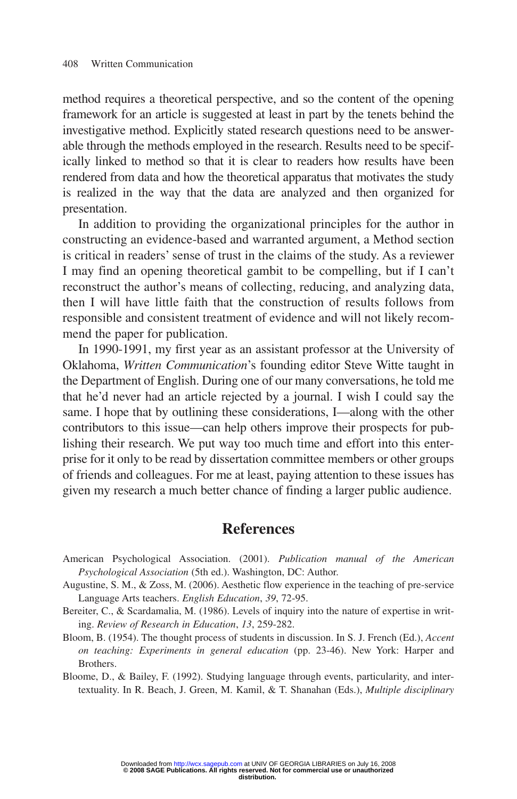method requires a theoretical perspective, and so the content of the opening framework for an article is suggested at least in part by the tenets behind the investigative method. Explicitly stated research questions need to be answerable through the methods employed in the research. Results need to be specifically linked to method so that it is clear to readers how results have been rendered from data and how the theoretical apparatus that motivates the study is realized in the way that the data are analyzed and then organized for presentation.

In addition to providing the organizational principles for the author in constructing an evidence-based and warranted argument, a Method section is critical in readers' sense of trust in the claims of the study. As a reviewer I may find an opening theoretical gambit to be compelling, but if I can't reconstruct the author's means of collecting, reducing, and analyzing data, then I will have little faith that the construction of results follows from responsible and consistent treatment of evidence and will not likely recommend the paper for publication.

In 1990-1991, my first year as an assistant professor at the University of Oklahoma, *Written Communication*'s founding editor Steve Witte taught in the Department of English. During one of our many conversations, he told me that he'd never had an article rejected by a journal. I wish I could say the same. I hope that by outlining these considerations, I—along with the other contributors to this issue—can help others improve their prospects for publishing their research. We put way too much time and effort into this enterprise for it only to be read by dissertation committee members or other groups of friends and colleagues. For me at least, paying attention to these issues has given my research a much better chance of finding a larger public audience.

#### **[Ref](http://wcx.sagepub.com)erences**

- American Psychological Association. (2001). *Publication manual of the American Psychological Association* (5th ed.). Washington, DC: Author.
- Augustine, S. M., & Zoss, M. (2006). Aesthetic flow experience in the teaching of pre-service Language Arts teachers. *English Education*, *39*, 72-95.
- Bereiter, C., & Scardamalia, M. (1986). Levels of inquiry into the nature of expertise in writing. *Review of Research in Education*, *13*, 259-282.
- Bloom, B. (1954). The thought process of students in discussion. In S. J. French (Ed.), *Accent on teaching: Experiments in general education* (pp. 23-46). New York: Harper and Brothers.
- Bloome, D., & Bailey, F. (1992). Studying language through events, particularity, and intertextuality. In R. Beach, J. Green, M. Kamil, & T. Shanahan (Eds.), *Multiple disciplinary*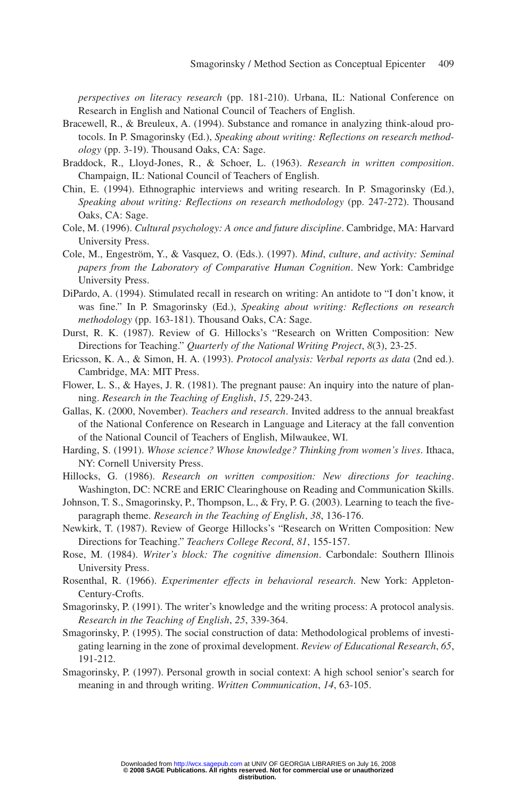- *perspectives on literacy research* (pp. 181-210). Urbana, IL: National Conference on Research in English and National Council of Teachers of English.
- Bracewell, R., & Breuleux, A. (1994). Substance and romance in analyzing think-aloud protocols. In P. Smagorinsky (Ed.), *Speaking about writing: Reflections on research methodology* (pp. 3-19). Thousand Oaks, CA: Sage.
- Braddock, R., Lloyd-Jones, R., & Schoer, L. (1963). *Research in written composition*. Champaign, IL: National Council of Teachers of English.
- Chin, E. (1994). Ethnographic interviews and writing research. In P. Smagorinsky (Ed.), *Speaking about writing: Reflections on research methodology* (pp. 247-272). Thousand Oaks, CA: Sage.
- Cole, M. (1996). *Cultural psychology: A once and future discipline*. Cambridge, MA: Harvard University Press.
- Cole, M., Engeström, Y., & Vasquez, O. (Eds.). (1997). *Mind*, *culture*, *and activity: Seminal papers from the Laboratory of Comparative Human Cognition*. New York: Cambridge University Press.
- DiPardo, A. (1994). Stimulated recall in research on writing: An antidote to "I don't know, it was fine." In P. Smagorinsky (Ed.), *Speaking about writing: Reflections on research methodology* (pp. 163-181). Thousand Oaks, CA: Sage.
- Durst, R. K. (1987). Review of G. Hillocks's "Research on Written Composition: New Directions for Teaching." *Quarterly of the National Writing Project*, *8*(3), 23-25.
- Ericsson, K. A., & Simon, H. A. (1993). *Protocol analysis: Verbal reports as data* (2nd ed.). Cambridge, MA: MIT Press.
- Flower, L. S., & Hayes, J. R. (1981). The pregnant pause: An inquiry into the nature of planning. *Research in the Teaching of English*, *15*, 229-243.
- Gallas, K. (2000, November). *Teachers and research*. Invited address to the annual breakfast of the National Conference on Research in Language and Literacy at the fall convention of the National Council of Teachers of English, Milwaukee, WI.
- Harding, S. (1991). *Whose science? Whose knowledge? Thinking from women's lives*. Ithaca, NY: Cornell University Press.
- Hillocks, G. (1986). *Research on written composition: New directions for teaching*. Washington, DC: NCRE and ERIC Clearinghouse on Reading and Communication Skills.
- Johnson, T. S., Smagorinsky, P., Thompson, L., & Fry, P. G. (2003). Learning to teach the fiveparagraph theme. *Research in the Teaching of English*, *38*, 136-176.
- Newkirk, T. (1987). Revi[ew of George Hil](http://wcx.sagepub.com)locks's "Research on Written Composition: New Directions for Teaching." *Teachers College Record*, *81*, 155-157.
- Rose, M. (1984). *Writer's block: The cognitive dimension*. Carbondale: Southern Illinois University Press.
- Rosenthal, R. (1966). *Experimenter effects in behavioral research*. New York: Appleton-Century-Crofts.
- Smagorinsky, P. (1991). The writer's knowledge and the writing process: A protocol analysis. *Research in the Teaching of English*, *25*, 339-364.
- Smagorinsky, P. (1995). The social construction of data: Methodological problems of investigating learning in the zone of proximal development. *Review of Educational Research*, *65*, 191-212.
- Smagorinsky, P. (1997). Personal growth in social context: A high school senior's search for meaning in and through writing. *Written Communication*, *14*, 63-105.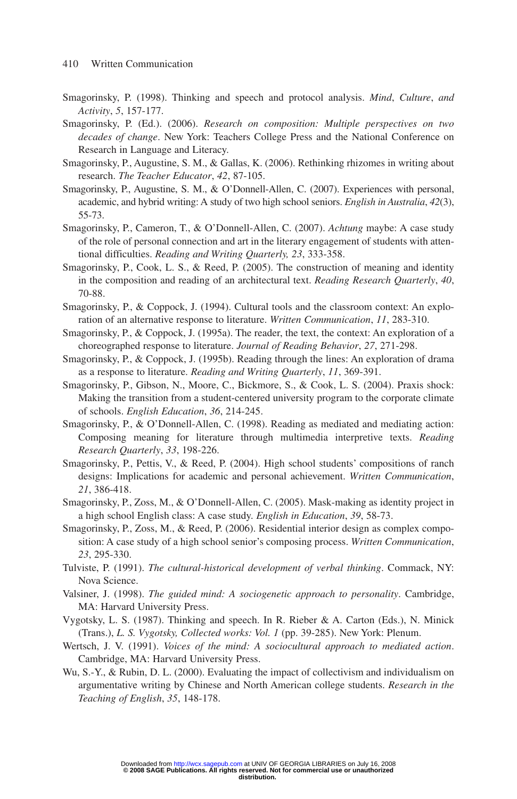- Smagorinsky, P. (1998). Thinking and speech and protocol analysis. *Mind*, *Culture*, *and Activity*, *5*, 157-177.
- Smagorinsky, P. (Ed.). (2006). *Research on composition: Multiple perspectives on two decades of change*. New York: Teachers College Press and the National Conference on Research in Language and Literacy.
- Smagorinsky, P., Augustine, S. M., & Gallas, K. (2006). Rethinking rhizomes in writing about research. *The Teacher Educator*, *42*, 87-105.
- Smagorinsky, P., Augustine, S. M., & O'Donnell-Allen, C. (2007). Experiences with personal, academic, and hybrid writing: A study of two high school seniors. *English in Australia*, *42*(3), 55-73.
- Smagorinsky, P., Cameron, T., & O'Donnell-Allen, C. (2007). *Achtung* maybe: A case study of the role of personal connection and art in the literary engagement of students with attentional difficulties. *Reading and Writing Quarterly, 23*, 333-358.
- Smagorinsky, P., Cook, L. S., & Reed, P. (2005). The construction of meaning and identity in the composition and reading of an architectural text. *Reading Research Quarterly*, *40*, 70-88.
- Smagorinsky, P., & Coppock, J. (1994). Cultural tools and the classroom context: An exploration of an alternative response to literature. *Written Communication*, *11*, 283-310.
- Smagorinsky, P., & Coppock, J. (1995a). The reader, the text, the context: An exploration of a choreographed response to literature. *Journal of Reading Behavior*, *27*, 271-298.
- Smagorinsky, P., & Coppock, J. (1995b). Reading through the lines: An exploration of drama as a response to literature. *Reading and Writing Quarterly*, *11*, 369-391.
- Smagorinsky, P., Gibson, N., Moore, C., Bickmore, S., & Cook, L. S. (2004). Praxis shock: Making the transition from a student-centered university program to the corporate climate of schools. *English Education*, *36*, 214-245.
- Smagorinsky, P., & O'Donnell-Allen, C. (1998). Reading as mediated and mediating action: Composing meaning for literature through multimedia interpretive texts. *Reading Research Quarterly*, *33*, 198-226.
- Smagorinsky, P., Pettis, V., & Reed, P. (2004). High school students' compositions of ranch designs: Implications for academic and personal achievement. *Written Communication*, *21*, 386-418.
- Smagorinsky, P., Zoss, M., & O'Donnell-Allen, C. (2005). Mask-making as identity project in a high school English class: A case study. *English in Education*, *39*, 58-73.
- Smagorinsky, P., Zoss, M.[, & Reed, P. \(200](http://wcx.sagepub.com)6). Residential interior design as complex composition: A case study of a high school senior's composing process. *Written Communication*, *23*, 295-330.
- Tulviste, P. (1991). *The cultural-historical development of verbal thinking*. Commack, NY: Nova Science.
- Valsiner, J. (1998). *The guided mind: A sociogenetic approach to personality*. Cambridge, MA: Harvard University Press.
- Vygotsky, L. S. (1987). Thinking and speech. In R. Rieber & A. Carton (Eds.), N. Minick (Trans.), *L. S. Vygotsky, Collected works: Vol. 1* (pp. 39-285). New York: Plenum.
- Wertsch, J. V. (1991). *Voices of the mind: A sociocultural approach to mediated action*. Cambridge, MA: Harvard University Press.
- Wu, S.-Y., & Rubin, D. L. (2000). Evaluating the impact of collectivism and individualism on argumentative writing by Chinese and North American college students. *Research in the Teaching of English*, *35*, 148-178.